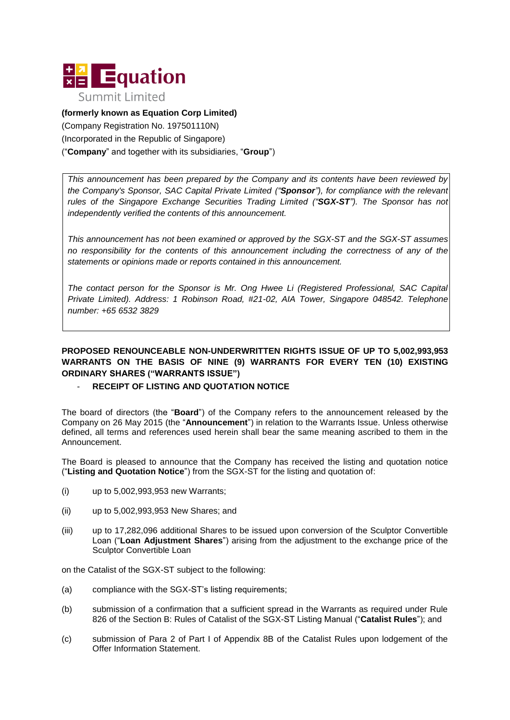

**(formerly known as Equation Corp Limited)**  (Company Registration No. 197501110N) (Incorporated in the Republic of Singapore) ("**Company**" and together with its subsidiaries, "**Group**")

*This announcement has been prepared by the Company and its contents have been reviewed by the Company's Sponsor, SAC Capital Private Limited ("Sponsor"), for compliance with the relevant rules of the Singapore Exchange Securities Trading Limited ("SGX-ST"). The Sponsor has not independently verified the contents of this announcement.*

*This announcement has not been examined or approved by the SGX-ST and the SGX-ST assumes no responsibility for the contents of this announcement including the correctness of any of the statements or opinions made or reports contained in this announcement.*

*The contact person for the Sponsor is Mr. Ong Hwee Li (Registered Professional, SAC Capital Private Limited). Address: 1 Robinson Road, #21-02, AIA Tower, Singapore 048542. Telephone number: +65 6532 3829*

## **PROPOSED RENOUNCEABLE NON-UNDERWRITTEN RIGHTS ISSUE OF UP TO 5,002,993,953 WARRANTS ON THE BASIS OF NINE (9) WARRANTS FOR EVERY TEN (10) EXISTING ORDINARY SHARES ("WARRANTS ISSUE")**

## **RECEIPT OF LISTING AND QUOTATION NOTICE**

The board of directors (the "**Board**") of the Company refers to the announcement released by the Company on 26 May 2015 (the "**Announcement**") in relation to the Warrants Issue. Unless otherwise defined, all terms and references used herein shall bear the same meaning ascribed to them in the Announcement.

The Board is pleased to announce that the Company has received the listing and quotation notice ("**Listing and Quotation Notice**") from the SGX-ST for the listing and quotation of:

- (i) up to 5,002,993,953 new Warrants;
- (ii) up to 5,002,993,953 New Shares; and
- (iii) up to 17,282,096 additional Shares to be issued upon conversion of the Sculptor Convertible Loan ("**Loan Adjustment Shares**") arising from the adjustment to the exchange price of the Sculptor Convertible Loan

on the Catalist of the SGX-ST subject to the following:

- (a) compliance with the SGX-ST's listing requirements;
- (b) submission of a confirmation that a sufficient spread in the Warrants as required under Rule 826 of the Section B: Rules of Catalist of the SGX-ST Listing Manual ("**Catalist Rules**"); and
- (c) submission of Para 2 of Part I of Appendix 8B of the Catalist Rules upon lodgement of the Offer Information Statement.